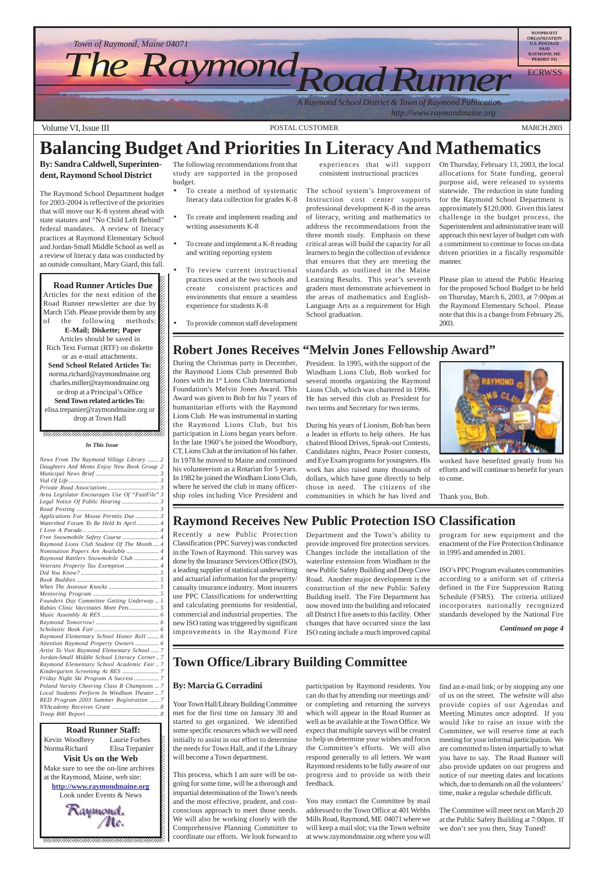

12345678901234567890123456789012345678901234567890123456789012345678901234567890123456789012345678901234567890 12345678901234567890123456789012345678901234567890123456789012345678901234567890123456789012345678901234567890 12345678901234567890123456789012123456789012345678 12345678901234567890123456789012123456789012345678

**Road Runner Articles Due** Articles for the next edition of the  $\mathscr{C}$  $1235678901234567890123456789012345678901234567890123456789012345678901234567890123456789012345678901234567890123456789012345678901234567890123456789012345678901234567890123456789012345678901234567890123456789012345678901$ Road Runner newsletter are due by  $\%$ March 15th. Please provide them by any  $\cancel{\mathscr{C}}$ of the following methods: **E-Mail; Diskette; Paper** Articles should be saved in 12345678901234567890123456789012123456789012345678 Rich Text Format (RTF) on diskette  $\%$ or as e-mail attachments.  $1235678901234567890123456789012345678901234567890123456789012345678901234567890123456789012345678901234567890123456789012345678901234567890123456789012345678901234567890123456789012345678901234567890123456789012345678901$ **Send School Related Articles To:** norma.richard@raymondmaine.org charles.miller@raymondmaine.org or drop at a Principal's Office  $\mathbb{Z}$ **Send Town related articles To:** elisa.trepanier@raymondmaine.org or  $\mathscr{D}$  $1235678901234567890123456789012345678901234567890123456789012345678901234567890123456789012345678901234567890123456789012345678901234567890123456789012345678901234567890123456789012345678901234567890123456789012345678901$ drop at Town Hall  $\mathscr{C}$ 



 $1235678901234567890123456789012345678901234567890123456789012345678901234567890123456789012345678901234567890123456789012345678901234567890123456789012345678901234567890123456789012345678901234567890123456789012345678901$  $1235678901234567890123456789012345678901234567890123456789012345678901234567890123456789012345678901234567890123456789012345678901234567890123456789012345678901234567890123456789012345678901234567890123456789012345678901$  $\blacksquare$ 12345678901234567890123456789012123456789012345678 12345678901234567890123456789012123456789012345678

- To create a method of systematic literacy data collection for grades K-8
- To create and implement reading and writing assessments K-8
- To create and implement a K-8 reading and writing reporting system
- To review current instructional practices used at the two schools and create consistent practices and environments that ensure a seamless experience for students K-8
- To provide common staff development

You may contact the Committee by mail addressed to the Town Office at 401 Webbs Mills Road, Raymond, ME 04071 where we will keep a mail slot; via the Town website at www.raymondmaine.org where you will

# **Balancing Budget And Priorities In Literacy And Mathematics**

**By: Sandra Caldwell, Superintendent, Raymond School District**

The Raymond School Department budget for 2003-2004 is reflective of the priorities that will move our K-8 system ahead with state statutes and "No Child Left Behind" federal mandates. A review of literacy practices at Raymond Elementary School and Jordan-Small Middle School as well as a review of literacy data was conducted by an outside consultant, Mary Giard, this fall.

The following recommendations from that study are supported in the proposed budget.

#### experiences that will support consistent instructional practices

The school system's Improvement of Instruction cost center supports professional development K-8 in the areas of literacy, writing and mathematics to address the recommendations from the three month study. Emphasis on these critical areas will build the capacity for all learners to begin the collection of evidence that ensures that they are meeting the standards as outlined in the Maine Learning Results. This year's seventh graders must demonstrate achievement in the areas of mathematics and English-Language Arts as a requirement for High School graduation.

On Thursday, February 13, 2003, the local allocations for State funding, general purpose aid, were released to systems statewide. The reduction in state funding for the Raymond School Department is approximately \$120,000. Given this latest challenge in the budget process, the Superintendent and administrative team will approach this next layer of budget cuts with a commitment to continue to focus on data driven priorities in a fiscally responsible manner.

Please plan to attend the Public Hearing for the proposed School Budget to be held on Thursday, March 6, 2003, at 7:00pm at the Raymond Elementary School. Please note that this is a change from February 26, 2003.

### **Town Office/Library Building Committee**

#### **By: Marcia G. Corradini**

Your Town Hall/Library Building Committee met for the first time on January 30 and started to get organized. We identified some specific resources which we will need initially to assist in our effort to determine the needs for Town Hall, and if the Library will become a Town department.

This process, which I am sure will be ongoing for some time, will be a thorough and impartial determination of the Town's needs and the most effective, prudent, and costconscious approach to meet those needs. We will also be working closely with the Comprehensive Planning Committee to coordinate our efforts. We look forward to participation by Raymond residents. You can do that by attending our meetings and/ or completing and returning the surveys which will appear in the Road Runner as well as be available at the Town Office. We expect that multiple surveys will be created to help us determine your wishes and focus the Committee's efforts. We will also respond generally to all letters. We want Raymond residents to be fully aware of our progress and to provide us with their feedback.

find an e-mail link; or by stopping any one of us on the street. The website will also provide copies of our Agendas and Meeting Minutes once adopted. If you would like to raise an issue with the Committee, we will reserve time at each meeting for your informal participation. We are committed to listen impartially to what you have to say. The Road Runner will also provide updates on our progress and notice of our meeting dates and locations which, due to demands on all the volunteers' time, make a regular schedule difficult.

The Committee will meet next on March 20 at the Public Safety Building at 7:00pm. If we don't see you then, Stay Tuned!

#### **Robert Jones Receives "Melvin Jones Fellowship Award"**

During the Christmas party in December, the Raymond Lions Club presented Bob Jones with its 1<sup>st</sup> Lions Club International Foundation's Melvin Jones Award. This Award was given to Bob for his 7 years of humanitarian efforts with the Raymond Lions Club. He was instrumental in starting the Raymond Lions Club, but his participation in Lions began years before. In the late 1960's he joined the Woodbury, CT, Lions Club at the invitation of his father. In 1978 he moved to Maine and continued his volunteerism as a Rotarian for 5 years. In 1982 he joined the Windham Lions Club, where he served the club in many officership roles including Vice President and

President. In 1995, with the support of the Windham Lions Club, Bob worked for several months organizing the Raymond Lions Club, which was chartered in 1996. He has served this club as President for two terms and Secretary for two terms.

During his years of Lionism, Bob has been a leader in efforts to help others. He has chaired Blood Drives, Speak-out Contests, Candidates nights, Peace Poster contests, and Eye Exam programs for youngsters. His work has also raised many thousands of dollars, which have gone directly to help those in need. The citizens of the communities in which he has lived and



worked have benefited greatly from his efforts and will continue to benefit for years to come.

Thank you, Bob.

#### **Raymond Receives New Public Protection ISO Classification**

Recently a new Public Protection Classification (PPC Survey) was conducted in the Town of Raymond. This survey was done by the Insurance Services Office (ISO), a leading supplier of statistical underwriting and actuarial information for the property/ casualty insurance industry. Most insurers use PPC Classifications for underwriting and calculating premiums for residential, commercial and industrial properties. The new ISO rating was triggered by significant improvements in the Raymond Fire Department and the Town's ability to provide improved fire protection services. Changes include the installation of the waterline extension from Windham to the new Public Safety Building and Deep Cove Road. Another major development is the construction of the new Public Safety Building itself. The Fire Department has now moved into the building and relocated all District I fire assets to this facility. Other changes that have occurred since the last ISO rating include a much improved capital

program for new equipment and the enactment of the Fire Protection Ordinance in 1995 and amended in 2001.

ISO's PPC Program evaluates communities according to a uniform set of criteria defined in the Fire Suppression Rating Schedule (FSRS). The criteria utilized incorporates nationally recognized standards developed by the National Fire

*Continued on page 4*

#### *In This Issue*

| News From The Raymond Village Library  2       |
|------------------------------------------------|
| Daughters And Moms Enjoy New Book Group 2      |
|                                                |
|                                                |
|                                                |
| Area Legislator Encourages Use Of "FastFile" 3 |
|                                                |
|                                                |
| Applications For Moose Permits Due  3          |
| Watershed Forum To Be Held In April 4          |
|                                                |
| Free Snowmobile Safety Course  4               |
| Raymond Lions Club Student Of The Month 4      |
| Nomination Papers Are Available  4             |
| Raymond Rattlers Snowmobile Club  4            |
| Veterans Property Tax Exemption 4              |
|                                                |
|                                                |
|                                                |
|                                                |
| Founders Day Committee Getting Underway 5      |
|                                                |
|                                                |
|                                                |
|                                                |
| Raymond Elementary School Honor Roll  6        |
| Attention Raymond Property Owners  6           |
| Artist To Visit Raymond Elementary School 7    |
| Jordan-Small Middle School Literacy Corner 7   |

*[Raymond Elementary School Academic Fair .. 7](#page-6-0) [Kindergarten Screening At RES](#page-6-0) ......................... 7 [Friday Night Ski Program A Success................. 7](#page-6-0) [Poland Varsity Cheering Class B Champions ... 7](#page-6-0) [Local Students Perform In Windham Theater ... 7](#page-6-0) [RED Program 2003 Summer Registration](#page-6-0) ....... 7 [NYAcademy Receives Grant](#page-7-0) ................................ 8 Troop 800 Report [................................................. 8](#page-7-0)*

**1234567801234567890123456789121234567890121234567890123456789012345678901234567890123456789012345678** 12345678901234567890123456789012123456789012345678 Kevin Woodbrey Laurie Forbes  $\cancel{\mathcal{E}}$ Laurie Forbes Norma Richard Elisa Trepanier  $\blacksquare$ **Visit Us on the Web** 12345678901234567890123456789012123456789012345678 Make sure to see the on-line archives  $\mathcal{L}$ 12345678901234567890123456789012123456789012345678 at the Raymond, Maine, web site:  $\mathcal{L}$ **http://www.raymondmaine.org** 12345678901234567890123456789012123456789012345678 Look under Events & News  $\mathcal{L}$  $123$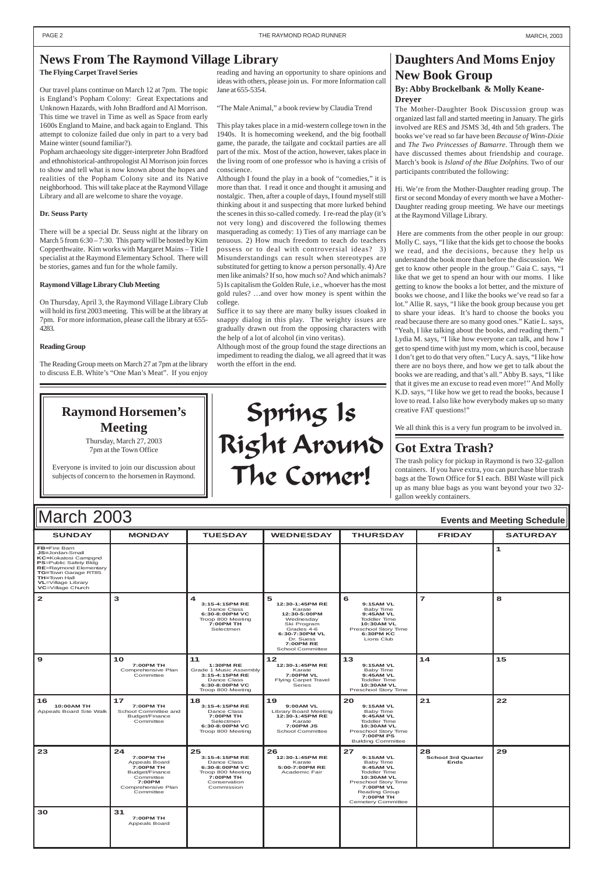| <b>SUNDAY</b>                                                                                                                                                                                                                  | <b>MONDAY</b>                                                                                                             | <b>TUESDAY</b>                                                                                                           | <b>WEDNESDAY</b>                                                                                                                                                | <b>THURSDAY</b>                                                                                                                                                                       | <b>FRIDAY</b>                                  | <b>SATURDAY</b> |
|--------------------------------------------------------------------------------------------------------------------------------------------------------------------------------------------------------------------------------|---------------------------------------------------------------------------------------------------------------------------|--------------------------------------------------------------------------------------------------------------------------|-----------------------------------------------------------------------------------------------------------------------------------------------------------------|---------------------------------------------------------------------------------------------------------------------------------------------------------------------------------------|------------------------------------------------|-----------------|
| FB=Fire Barn<br>JS=Jordan-Small<br><b>KC=Kokatosi Campgnd</b><br><b>PS=Public Safety Bldg</b><br><b>RE=Raymond Elementary</b><br>TG=Town Garage RT85<br><b>TH=Town Hall</b><br><b>VL</b> =Village Library<br>VC=Village Church |                                                                                                                           |                                                                                                                          |                                                                                                                                                                 |                                                                                                                                                                                       |                                                | $\mathbf{1}$    |
| $\mathbf{2}$                                                                                                                                                                                                                   | 3                                                                                                                         | $\blacktriangleleft$<br>3:15-4:15PM RE<br>Dance Class<br>6:30-8:00PM VC<br>Troop 800 Meeting<br>7:00PM TH<br>Selectmen   | 5<br>12:30-1:45PM RE<br>Karate<br>12:30-5:00PM<br>Wednesday<br>Ski Program<br>Grades 4-6<br>6:30-7:30PM VL<br>Dr. Suess<br><b>7:00PM RE</b><br>School Committee | 6<br>9:15AM VL<br>Baby Time<br>9:45AM VL<br><b>Toddler Time</b><br>10:30AM VL<br>Preschool Story Time<br><b>6:30PM KC</b><br>Lions Club                                               | $\overline{7}$                                 | 8               |
| $\mathbf{9}$                                                                                                                                                                                                                   | 10<br>7:00PM TH<br>Comprehensive Plan<br>Committee                                                                        | 11<br><b>1:30PM RE</b><br>Grade 1 Music Assembly<br>3:15-4:15PM RE<br>Dance Class<br>6:30-8:00PM VC<br>Troop 800 Meeting | $12$<br>12:30-1:45PM RE<br>Karate<br>7:00PM VL<br>Flying Carpet Travel<br>Series                                                                                | 13<br>9:15AM VL<br><b>Baby Time</b><br>9:45AM VL<br><b>Toddler Time</b><br>10:30AM VL<br>Preschool Story Time                                                                         | $14$                                           | 15              |
| 16<br>10:00AM TH<br>Appeals Board Site Walk                                                                                                                                                                                    | 17<br>7:00PM TH<br>School Committee and<br>Budget/Finance<br>Committee                                                    | 18<br>3:15-4:15PM RE<br>Dance Class<br>7:00PM TH<br>Selectmen<br>6:30-8:00PM VC<br>Troop 800 Meeting                     | 19<br>9:00AM VL<br><b>Library Board Meeting</b><br>12:30-1:45PM RE<br>Karate<br>7:00PM JS<br>School Committee                                                   | 20<br>9:15AM VL<br><b>Baby Time</b><br>9:45AM VL<br><b>Toddler Time</b><br><b>10:30AM VL</b><br>Preschool Story Time<br><b>7:00PM PS</b><br><b>Building Committee</b>                 | 21                                             | 22              |
| 23                                                                                                                                                                                                                             | 24<br>7:00PM TH<br>Appeals Board<br>7:00PM TH<br>Budget/Finance<br>Committee<br>7:00PM<br>Comprehensive Plan<br>Committee | 25<br>3:15-4:15PM RE<br>Dance Class<br>6:30-8:00PM VC<br>Troop 800 Meeting<br>7:00PM TH<br>Conservation<br>Commission    | 26<br>12:30-1:45PM RE<br>Karate<br>5:00-7:00PM RE<br>Academic Fair                                                                                              | 27<br>9:15AM VL<br>Baby Time<br>9:45AM VL<br><b>Toddler Time</b><br>10:30AM VL<br>Preschool Story Time<br>7:00PM VL<br><b>Reading Group</b><br>7:00PM TH<br><b>Cemetery Committee</b> | 28<br><b>School 3rd Quarter</b><br><b>Ends</b> | 29              |
| 30                                                                                                                                                                                                                             | 31<br>7:00PM TH<br>Appeals Board                                                                                          |                                                                                                                          |                                                                                                                                                                 |                                                                                                                                                                                       |                                                |                 |

# March 2003 **Events and Meeting Schedule**

#### **Daughters And Moms Enjoy New Book Group By: Abby Brockelbank & Molly Keane-Dreyer**

The Mother-Daughter Book Discussion group was organized last fall and started meeting in January. The girls involved are RES and JSMS 3d, 4th and 5th graders. The books we've read so far have been *Because of Winn-Dixie* and *The Two Princesses of Bamarre*. Through them we have discussed themes about friendship and courage. March's book is *Island of the Blue Dolphins*. Two of our participants contributed the following:

Hi. We're from the Mother-Daughter reading group. The first or second Monday of every month we have a Mother-Daughter reading group meeting. We have our meetings at the Raymond Village Library.

 Here are comments from the other people in our group: Molly C. says, "I like that the kids get to choose the books we read, and the decisions, because they help us understand the book more than before the discussion. We get to know other people in the group.'' Gaia C. says, "I like that we get to spend an hour with our moms. I like getting to know the books a lot better, and the mixture of books we choose, and I like the books we've read so far a lot." Allie R. says, "I like the book group because you get to share your ideas. It's hard to choose the books you read because there are so many good ones." Katie L. says, "Yeah, I like talking about the books, and reading them." Lydia M. says, "I like how everyone can talk, and how I get to spend time with just my mom, which is cool, because I don't get to do that very often." Lucy A. says, "I like how there are no boys there, and how we get to talk about the books we are reading, and that's all." Abby B. says, "I like that it gives me an excuse to read even more!'' And Molly K.D. says, "I like how we get to read the books, because I love to read. I also like how everybody makes up so many creative FAT questions!"

We all think this is a very fun program to be involved in.

#### <span id="page-1-0"></span>**News From The Raymond Village Library**

#### **The Flying Carpet Travel Series**

Our travel plans continue on March 12 at 7pm. The topic is England's Popham Colony: Great Expectations and Unknown Hazards, with John Bradford and Al Morrison. This time we travel in Time as well as Space from early 1600s England to Maine, and back again to England. This attempt to colonize failed due only in part to a very bad Maine winter (sound familiar?).

Popham archaeology site digger-interpreter John Bradford and ethnohistorical-anthropologist Al Morrison join forces to show and tell what is now known about the hopes and realities of the Popham Colony site and its Native neighborhood. This will take place at the Raymond Village Library and all are welcome to share the voyage.

#### **Dr. Seuss Party**

There will be a special Dr. Seuss night at the library on March 5 from 6:30 – 7:30. This party will be hosted by Kim Copperthwaite. Kim works with Margaret Mains – Title I specialist at the Raymond Elementary School. There will be stories, games and fun for the whole family.

#### **Raymond Village Library Club Meeting**

On Thursday, April 3, the Raymond Village Library Club will hold its first 2003 meeting. This will be at the library at 7pm. For more information, please call the library at 655- 4283.

#### **Reading Group**

The Reading Group meets on March 27 at 7pm at the library to discuss E.B. White's "One Man's Meat". If you enjoy

reading and having an opportunity to share opinions and ideas with others, please join us. For more Information call Jane at 655-5354.

"The Male Animal," a book review by Claudia Trend

This play takes place in a mid-western college town in the 1940s. It is homecoming weekend, and the big football game, the parade, the tailgate and cocktail parties are all part of the mix. Most of the action, however, takes place in the living room of one professor who is having a crisis of conscience.

Although I found the play in a book of "comedies," it is more than that. I read it once and thought it amusing and nostalgic. Then, after a couple of days, I found myself still thinking about it and suspecting that more lurked behind the scenes in this so-called comedy. I re-read the play (it's not very long) and discovered the following themes masquerading as comedy: 1) Ties of any marriage can be tenuous. 2) How much freedom to teach do teachers possess or to deal with controversial ideas? 3) Misunderstandings can result when stereotypes are substituted for getting to know a person personally. 4) Are men like animals? If so, how much so? And which animals? 5) Is capitalism the Golden Rule, i.e., whoever has the most gold rules? …and over how money is spent within the college.

Suffice it to say there are many bulky issues cloaked in snappy dialog in this play. The weighty issues are gradually drawn out from the opposing characters with the help of a lot of alcohol (in vino veritas).

Although most of the group found the stage directions an impediment to reading the dialog, we all agreed that it was worth the effort in the end.

### **Got Extra Trash?**

The trash policy for pickup in Raymond is two 32-gallon containers. If you have extra, you can purchase blue trash bags at the Town Office for \$1 each. BBI Waste will pick up as many blue bags as you want beyond your two 32 gallon weekly containers.

## **Raymond Horsemen's Meeting**

Thursday, March 27, 2003 7pm at the Town Office

Everyone is invited to join our discussion about subjects of concern to the horsemen in Raymond.

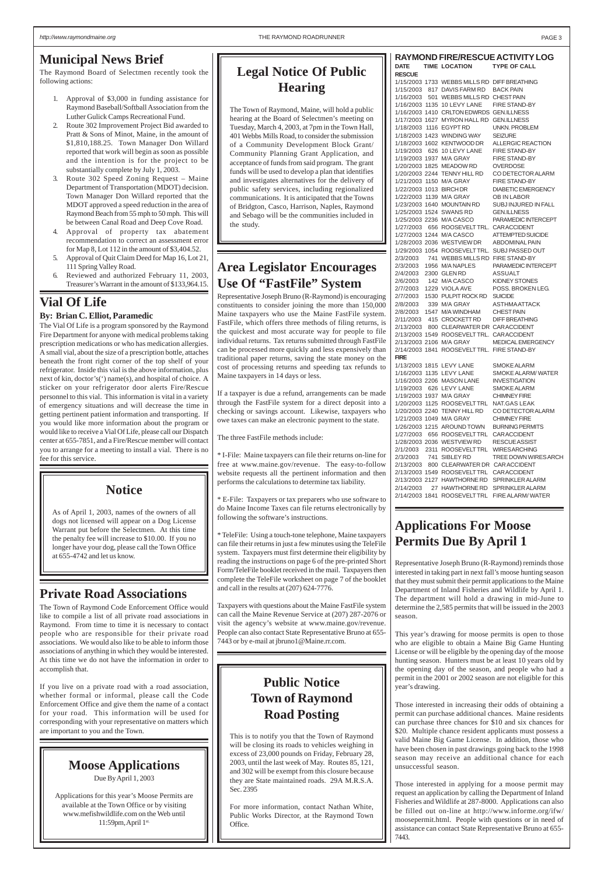#### <span id="page-2-0"></span>**Municipal News Brief**

The Raymond Board of Selectmen recently took the following actions:

- 1. Approval of \$3,000 in funding assistance for Raymond Baseball/Softball Association from the Luther Gulick Camps Recreational Fund.
- 2. Route 302 Improvement Project Bid awarded to Pratt & Sons of Minot, Maine, in the amount of \$1,810,188.25. Town Manager Don Willard reported that work will begin as soon as possible and the intention is for the project to be substantially complete by July 1, 2003.
- 3. Route 302 Speed Zoning Request Maine Department of Transportation (MDOT) decision. Town Manager Don Willard reported that the MDOT approved a speed reduction in the area of Raymond Beach from 55 mph to 50 mph. This will be between Canal Road and Deep Cove Road.
- 4. Approval of property tax abatement recommendation to correct an assessment error for Map 8, Lot 112 in the amount of \$3,404.52.
- 5. Approval of Quit Claim Deed for Map 16, Lot 21, 111 Spring Valley Road.
- 6. Reviewed and authorized February 11, 2003, Treasurer's Warrant in the amount of \$133,964.15.

| <b>RAYMOND FIRE/RESCUE ACTIVITY LOG</b> |  |                                                        |                                              |  |  |  |  |
|-----------------------------------------|--|--------------------------------------------------------|----------------------------------------------|--|--|--|--|
|                                         |  | DATE TIME LOCATION TYPE OF CALL                        |                                              |  |  |  |  |
| <b>RESCUE</b>                           |  |                                                        |                                              |  |  |  |  |
|                                         |  | 1/15/2003 1733 WEBBS MILLS RD DIFF BREATHING           |                                              |  |  |  |  |
|                                         |  | 1/15/2003 817 DAVIS FARM RD BACK PAIN                  |                                              |  |  |  |  |
|                                         |  | 1/16/2003 501 WEBBS MILLS RD CHEST PAIN                |                                              |  |  |  |  |
|                                         |  | 1/16/2003 1135 10 LEVY LANE FIRE STAND-BY              |                                              |  |  |  |  |
|                                         |  | 1/16/2003 1410 CRLTON EDWRDS GEN.ILLNESS               |                                              |  |  |  |  |
|                                         |  | 1/17/2003 1627 MYRON HALL RD GEN.ILLNESS               |                                              |  |  |  |  |
|                                         |  | 1/18/2003 1116 EGYPTRD                                 | UNKN. PROBLEM                                |  |  |  |  |
|                                         |  | 1/18/2003 1423 WINDING WAY                             | <b>SEIZURE</b>                               |  |  |  |  |
|                                         |  | 1/18/2003 1602 KENTWOOD DR                             | ALLERGIC REACTION                            |  |  |  |  |
|                                         |  | 1/19/2003 626 10 LEVY LANE                             | <b>FIRE STAND-BY</b>                         |  |  |  |  |
|                                         |  | 1/19/2003 1937 M/A GRAY                                | <b>FIRE STAND-BY</b>                         |  |  |  |  |
|                                         |  | 1/20/2003 1825 MEADOW RD                               | <b>OVERDOSE</b>                              |  |  |  |  |
|                                         |  | 1/20/2003 2244 TENNY HILL RD                           | CO DETECTOR ALARM                            |  |  |  |  |
|                                         |  | 1/21/2003 1150 M/A GRAY                                | FIRE STAND-BY                                |  |  |  |  |
|                                         |  | 1/22/2003 1013 BIRCHDR                                 | <b>DIABETIC EMERGENCY</b>                    |  |  |  |  |
|                                         |  | 1/22/2003 1139 M/A GRAY                                | OB IN LABOR                                  |  |  |  |  |
|                                         |  | 1/23/2003 1640 MOUNTAIN RD                             | SUBJ INJURED IN FALL                         |  |  |  |  |
|                                         |  | 1/25/2003 1524 SWANS RD                                | <b>GEN.ILLNESS</b>                           |  |  |  |  |
|                                         |  | 1/25/2003 2236 M/A CASCO                               | PARAMEDIC INTERCEPT                          |  |  |  |  |
|                                         |  | 1/27/2003 656 ROOSEVELTTRL. CARACCIDENT                |                                              |  |  |  |  |
|                                         |  | 1/27/2003 1244 M/A CASCO                               | ATTEMPTED SUICIDE                            |  |  |  |  |
|                                         |  | 1/28/2003 2036 WESTVIEW DR ABDOMINAL PAIN              |                                              |  |  |  |  |
|                                         |  |                                                        | 1/29/2003 1054 ROOSEVELTTRL. SUBJ PASSED OUT |  |  |  |  |
|                                         |  | 2/3/2003 741 WEBBS MILLS RD FIRE STAND-BY              |                                              |  |  |  |  |
|                                         |  | 2/3/2003 1956 M/A NAPLES                               | PARAMEDIC INTERCEPT                          |  |  |  |  |
|                                         |  | 2/4/2003 2300 GLEN RD                                  | ASSUALT                                      |  |  |  |  |
|                                         |  | 2/6/2003  142  M/A CASCO                               | KIDNEY STONES                                |  |  |  |  |
|                                         |  | 2/7/2003 1229 VIOLA AVE                                | POSS. BROKEN LEG.                            |  |  |  |  |
|                                         |  | 2/7/2003 1530 PULPIT ROCK RD SUICIDE                   |                                              |  |  |  |  |
|                                         |  | 2/8/2003 339 M/A GRAY                                  | <b>ASTHMAATTACK</b>                          |  |  |  |  |
|                                         |  | 2/8/2003 1547 M/A WINDHAM CHEST PAIN                   |                                              |  |  |  |  |
|                                         |  | 2/11/2003 415 CROCKETT RD DIFF BREATHING               |                                              |  |  |  |  |
|                                         |  | 2/13/2003 800 CLEARWATER DR CARACCIDENT                |                                              |  |  |  |  |
|                                         |  | 2/13/2003 1549 ROOSEVELTTRL. CARACCIDENT               |                                              |  |  |  |  |
|                                         |  | 2/13/2003 2106 M/A GRAY                                | <b>MEDICAL EMERGENCY</b>                     |  |  |  |  |
|                                         |  | 2/14/2003 1841 ROOSEVELTTRL. FIRE STAND-BY             |                                              |  |  |  |  |
| <b>FIRE</b>                             |  |                                                        |                                              |  |  |  |  |
|                                         |  | 1/13/2003 1815 LEVY LANE                               | <b>SMOKE ALARM</b>                           |  |  |  |  |
|                                         |  | 1/16/2003 1135 LEVY LANE                               | <b>SMOKE ALARM/ WATER</b>                    |  |  |  |  |
|                                         |  | 1/16/2003 2206 MASON LANE                              | <b>INVESTIGATION</b>                         |  |  |  |  |
|                                         |  | 1/19/2003 626 LEVY LANE                                | <b>SMOKE ALARM</b>                           |  |  |  |  |
|                                         |  | 1/19/2003 1937 M/A GRAY<br>1/20/2003 1125 ROOSEVELTTRL | <b>CHIMNEY FIRE</b><br>NAT.GAS LEAK          |  |  |  |  |
|                                         |  | 1/20/2003 2240 TENNY HILL RD                           | CO DETECTOR ALARM                            |  |  |  |  |
|                                         |  | 1/21/2003 1049 M/A GRAY                                | <b>CHIMNEY FIRE</b>                          |  |  |  |  |
|                                         |  | 1/26/2003 1215 AROUND TOWN                             | <b>BURNING PERMITS</b>                       |  |  |  |  |
|                                         |  | 1/27/2003 656 ROOSEVELTTRL                             | CAR ACCIDENT                                 |  |  |  |  |
|                                         |  | 1/28/2003 2036 WESTVIEW RD                             | <b>RESCUE ASSIST</b>                         |  |  |  |  |
| 2/1/2003                                |  | 2311 ROOSEVELTTRL                                      | <b>WIRESARCHING</b>                          |  |  |  |  |
| 2/3/2003                                |  | 741 SIBLEY RD                                          | TREE DOWN WIRES ARCH                         |  |  |  |  |
| 2/13/2003                               |  | 800 CLEARWATER DR CAR ACCIDENT                         |                                              |  |  |  |  |
|                                         |  | 2/13/2003 1549 ROOSEVELTTRL CARACCIDENT                |                                              |  |  |  |  |
|                                         |  | 2/13/2003 2127 HAWTHORNE RD                            | <b>SPRINKLER ALARM</b>                       |  |  |  |  |
|                                         |  |                                                        | 2/14/2003 27 HAWTHORNE RD SPRINKLER ALARM    |  |  |  |  |
|                                         |  |                                                        |                                              |  |  |  |  |

2/14/2003 1841 ROOSEVELT TRL FIRE ALARM/ WATER

#### **Applications For Moose Permits Due By April 1**

Representative Joseph Bruno (R-Raymond) reminds those interested in taking part in next fall's moose hunting season that they must submit their permit applications to the Maine Department of Inland Fisheries and Wildlife by April 1. The department will hold a drawing in mid-June to determine the 2,585 permits that will be issued in the 2003 season.

This year's drawing for moose permits is open to those who are eligible to obtain a Maine Big Game Hunting License or will be eligible by the opening day of the moose hunting season. Hunters must be at least 10 years old by the opening day of the season, and people who had a permit in the 2001 or 2002 season are not eligible for this year's drawing.

Those interested in increasing their odds of obtaining a permit can purchase additional chances. Maine residents can purchase three chances for \$10 and six chances for \$20. Multiple chance resident applicants must possess a valid Maine Big Game License. In addition, those who have been chosen in past drawings going back to the 1998 season may receive an additional chance for each unsuccessful season.

Those interested in applying for a moose permit may request an application by calling the Department of Inland Fisheries and Wildlife at 287-8000. Applications can also be filled out on-line at http://www.informe.org/ifw/ moosepermit.html. People with questions or in need of assistance can contact State Representative Bruno at 655- 7443.

### **Area Legislator Encourages Use Of "FastFile" System**

Representative Joseph Bruno (R-Raymond) is encouraging constituents to consider joining the more than 150,000 Maine taxpayers who use the Maine FastFile system. FastFile, which offers three methods of filing returns, is the quickest and most accurate way for people to file individual returns. Tax returns submitted through FastFile can be processed more quickly and less expensively than traditional paper returns, saving the state money on the cost of processing returns and speeding tax refunds to Maine taxpayers in 14 days or less.

If a taxpayer is due a refund, arrangements can be made through the FastFile system for a direct deposit into a checking or savings account. Likewise, taxpayers who owe taxes can make an electronic payment to the state.

The three FastFile methods include:

\* I-File: Maine taxpayers can file their returns on-line for free at www.maine.gov/revenue. The easy-to-follow website requests all the pertinent information and then performs the calculations to determine tax liability.

\* E-File: Taxpayers or tax preparers who use software to do Maine Income Taxes can file returns electronically by following the software's instructions.

\* TeleFile: Using a touch-tone telephone, Maine taxpayers can file their returns in just a few minutes using the TeleFile system. Taxpayers must first determine their eligibility by reading the instructions on page 6 of the pre-printed Short Form/TeleFile booklet received in the mail. Taxpayers then complete the TeleFile worksheet on page 7 of the booklet and call in the results at (207) 624-7776.

Taxpayers with questions about the Maine FastFile system can call the Maine Revenue Service at (207) 287-2076 or visit the agency's website at www.maine.gov/revenue. People can also contact State Representative Bruno at 655- 7443 or by e-mail at jbruno1@Maine.rr.com.

#### **Vial Of Life**

#### **By: Brian C. Elliot, Paramedic**

The Vial Of Life is a program sponsored by the Raymond Fire Department for anyone with medical problems taking prescription medications or who has medication allergies. A small vial, about the size of a prescription bottle, attaches beneath the front right corner of the top shelf of your refrigerator. Inside this vial is the above information, plus next of kin, doctor's(') name(s), and hospital of choice. A sticker on your refrigerator door alerts Fire/Rescue personnel to this vial. This information is vital in a variety of emergency situations and will decrease the time in getting pertinent patient information and transporting. If you would like more information about the program or would like to receive a Vial Of Life, please call our Dispatch center at 655-7851, and a Fire/Rescue member will contact you to arrange for a meeting to install a vial. There is no fee for this service.

#### **Moose Applications**

Due By April 1, 2003

Applications for this year's Moose Permits are available at the Town Office or by visiting www.mefishwildlife.com on the Web until 11:59pm, April 1st.

#### **Private Road Associations**

The Town of Raymond Code Enforcement Office would like to compile a list of all private road associations in Raymond. From time to time it is necessary to contact people who are responsible for their private road associations. We would also like to be able to inform those associations of anything in which they would be interested. At this time we do not have the information in order to accomplish that.

If you live on a private road with a road association, whether formal or informal, please call the Code Enforcement Office and give them the name of a contact for your road. This information will be used for corresponding with your representative on matters which are important to you and the Town.

### **Public Notice Town of Raymond Road Posting**

This is to notify you that the Town of Raymond will be closing its roads to vehicles weighing in excess of 23,000 pounds on Friday, February 28, 2003, until the last week of May. Routes 85, 121, and 302 will be exempt from this closure because they are State maintained roads. 29A M.R.S.A. Sec. 2395

For more information, contact Nathan White, Public Works Director, at the Raymond Town Office.

#### **Notice**

As of April 1, 2003, names of the owners of all dogs not licensed will appear on a Dog License Warrant put before the Selectmen. At this time the penalty fee will increase to \$10.00. If you no longer have your dog, please call the Town Office at 655-4742 and let us know.

### **Legal Notice Of Public Hearing**

The Town of Raymond, Maine, will hold a public hearing at the Board of Selectmen's meeting on Tuesday, March 4, 2003, at 7pm in the Town Hall, 401 Webbs Mills Road, to consider the submission of a Community Development Block Grant/ Community Planning Grant Application, and acceptance of funds from said program. The grant funds will be used to develop a plan that identifies and investigates alternatives for the delivery of public safety services, including regionalized communications. It is anticipated that the Towns of Bridgton, Casco, Harrison, Naples, Raymond and Sebago will be the communities included in the study.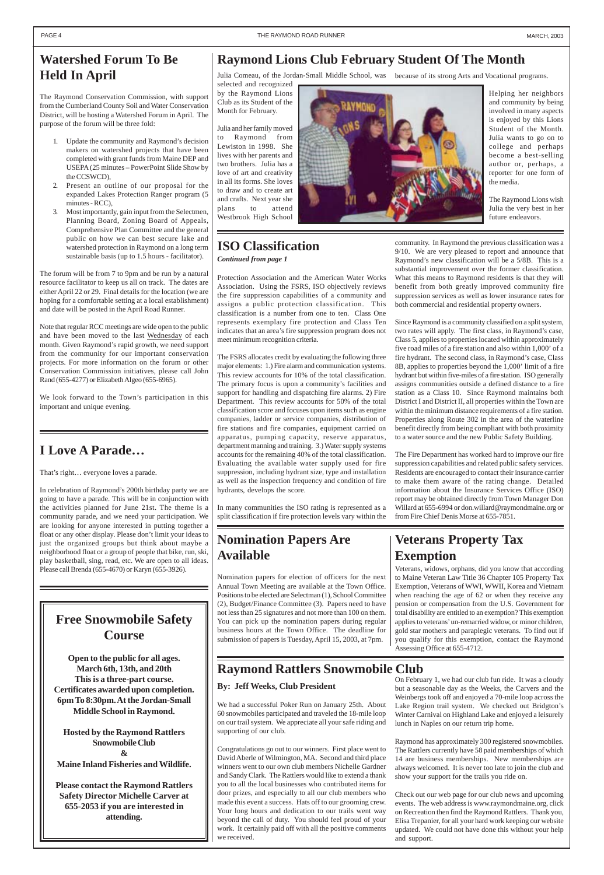### <span id="page-3-0"></span>**Watershed Forum To Be Held In April**

The Raymond Conservation Commission, with support from the Cumberland County Soil and Water Conservation District, will be hosting a Watershed Forum in April. The purpose of the forum will be three fold:

- 1. Update the community and Raymond's decision makers on watershed projects that have been completed with grant funds from Maine DEP and USEPA (25 minutes – PowerPoint Slide Show by the CCSWCD),
- 2. Present an outline of our proposal for the expanded Lakes Protection Ranger program (5 minutes - RCC),
- 3. Most importantly, gain input from the Selectmen, Planning Board, Zoning Board of Appeals, Comprehensive Plan Committee and the general public on how we can best secure lake and watershed protection in Raymond on a long term sustainable basis (up to 1.5 hours - facilitator).

The forum will be from 7 to 9pm and be run by a natural resource facilitator to keep us all on track. The dates are either April 22 or 29. Final details for the location (we are hoping for a comfortable setting at a local establishment) and date will be posted in the April Road Runner.

Note that regular RCC meetings are wide open to the public and have been moved to the last Wednesday of each month. Given Raymond's rapid growth, we need support from the community for our important conservation projects. For more information on the forum or other Conservation Commission initiatives, please call John Rand (655-4277) or Elizabeth Algeo (655-6965).

We look forward to the Town's participation in this important and unique evening.

#### **Raymond Rattlers Snowmobile Club**

### **Free Snowmobile Safety Course**

**Open to the public for all ages.**

**March 6th, 13th, and 20th This is a three-part course. Certificates awarded upon completion. 6pm To 8:30pm. At the Jordan-Small Middle School in Raymond.**

**Hosted by the Raymond Rattlers Snowmobile Club & Maine Inland Fisheries and Wildlife.**

**Please contact the Raymond Rattlers Safety Director Michelle Carver at 655-2053 if you are interested in attending.**

### **Raymond Lions Club February Student Of The Month**

selected and recognized by the Raymond Lions Club as its Student of the Month for February.

Julia Comeau, of the Jordan-Small Middle School, was because of its strong Arts and Vocational programs.

Julia and her family moved to Raymond from Lewiston in 1998. She lives with her parents and two brothers. Julia has a love of art and creativity in all its forms. She loves to draw and to create art and crafts. Next year she plans to attend Westbrook High School



### **I Love A Parade…**

That's right… everyone loves a parade.

In celebration of Raymond's 200th birthday party we are going to have a parade. This will be in conjunction with the activities planned for June 21st. The theme is a community parade, and we need your participation. We are looking for anyone interested in putting together a float or any other display. Please don't limit your ideas to just the organized groups but think about maybe a neighborhood float or a group of people that bike, run, ski, play basketball, sing, read, etc. We are open to all ideas. Please call Brenda (655-4670) or Karyn (655-3926).

#### **By: Jeff Weeks, Club President**

We had a successful Poker Run on January 25th. About 60 snowmobiles participated and traveled the 18-mile loop on our trail system. We appreciate all your safe riding and supporting of our club.

Congratulations go out to our winners. First place went to David Aberle of Wilmington, MA. Second and third place winners went to our own club members Nichelle Gardner and Sandy Clark. The Rattlers would like to extend a thank you to all the local businesses who contributed items for door prizes, and especially to all our club members who made this event a success. Hats off to our grooming crew. Your long hours and dedication to our trails went way beyond the call of duty. You should feel proud of your work. It certainly paid off with all the positive comments we received.

On February 1, we had our club fun ride. It was a cloudy but a seasonable day as the Weeks, the Carvers and the Weinbergs took off and enjoyed a 70-mile loop across the Lake Region trail system. We checked out Bridgton's Winter Carnival on Highland Lake and enjoyed a leisurely lunch in Naples on our return trip home.

Raymond has approximately 300 registered snowmobiles. The Rattlers currently have 58 paid memberships of which 14 are business memberships. New memberships are always welcomed. It is never too late to join the club and show your support for the trails you ride on.

Check out our web page for our club news and upcoming events. The web address is www.raymondmaine.org, click on Recreation then find the Raymond Rattlers. Thank you, Elisa Trepanier, for all your hard work keeping our website updated. We could not have done this without your help and support.

Protection Association and the American Water Works Association. Using the FSRS, ISO objectively reviews the fire suppression capabilities of a community and assigns a public protection classification. This classification is a number from one to ten. Class One represents exemplary fire protection and Class Ten indicates that an area's fire suppression program does not meet minimum recognition criteria.

The FSRS allocates credit by evaluating the following three major elements: 1.) Fire alarm and communication systems. This review accounts for 10% of the total classification. The primary focus is upon a community's facilities and support for handling and dispatching fire alarms. 2) Fire Department. This review accounts for 50% of the total classification score and focuses upon items such as engine companies, ladder or service companies, distribution of fire stations and fire companies, equipment carried on apparatus, pumping capacity, reserve apparatus, department manning and training. 3.) Water supply systems accounts for the remaining 40% of the total classification. Evaluating the available water supply used for fire suppression, including hydrant size, type and installation as well as the inspection frequency and condition of fire hydrants, develops the score.

In many communities the ISO rating is represented as a split classification if fire protection levels vary within the community. In Raymond the previous classification was a 9/10. We are very pleased to report and announce that Raymond's new classification will be a 5/8B. This is a substantial improvement over the former classification. What this means to Raymond residents is that they will benefit from both greatly improved community fire suppression services as well as lower insurance rates for both commercial and residential property owners.

Since Raymond is a community classified on a split system, two rates will apply. The first class, in Raymond's case, Class 5, applies to properties located within approximately five road miles of a fire station and also within 1,000' of a fire hydrant. The second class, in Raymond's case, Class 8B, applies to properties beyond the 1,000' limit of a fire hydrant but within five-miles of a fire station. ISO generally assigns communities outside a defined distance to a fire station as a Class 10. Since Raymond maintains both District I and District II, all properties within the Town are within the minimum distance requirements of a fire station. Properties along Route 302 in the area of the waterline benefit directly from being compliant with both proximity to a water source and the new Public Safety Building.

The Fire Department has worked hard to improve our fire suppression capabilities and related public safety services. Residents are encouraged to contact their insurance carrier to make them aware of the rating change. Detailed information about the Insurance Services Office (ISO) report may be obtained directly from Town Manager Don Willard at 655-6994 or don.willard@raymondmaine.org or from Fire Chief Denis Morse at 655-7851.

*Continued from page 1*

# **ISO Classification**

### **Nomination Papers Are Available**

Nomination papers for election of officers for the next Annual Town Meeting are available at the Town Office. Positions to be elected are Selectman (1), School Committee (2), Budget/Finance Committee (3). Papers need to have not less than 25 signatures and not more than 100 on them. You can pick up the nomination papers during regular business hours at the Town Office. The deadline for submission of papers is Tuesday, April 15, 2003, at 7pm.

### **Veterans Property Tax Exemption**

Veterans, widows, orphans, did you know that according to Maine Veteran Law Title 36 Chapter 105 Property Tax Exemption, Veterans of WWI, WWII, Korea and Vietnam when reaching the age of 62 or when they receive any pension or compensation from the U.S. Government for total disability are entitled to an exemption? This exemption applies to veterans' un-remarried widow, or minor children, gold star mothers and paraplegic veterans. To find out if you qualify for this exemption, contact the Raymond Assessing Office at 655-4712.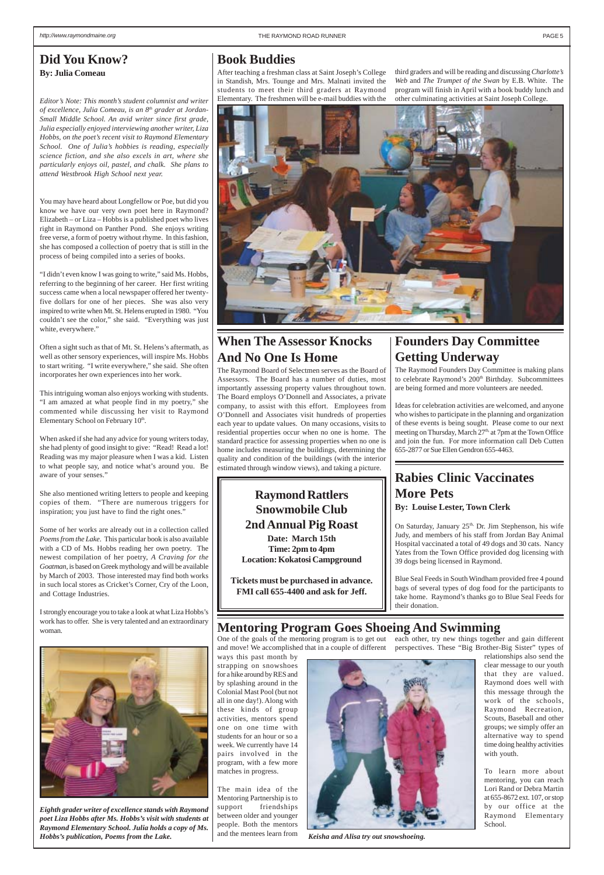### **Book Buddies**

After teaching a freshman class at Saint Joseph's College in Standish, Mrs. Tounge and Mrs. Malnati invited the students to meet their third graders at Raymond Elementary. The freshmen will be e-mail buddies with the



*Keisha and Alisa try out snowshoeing.*

### **Mentoring Program Goes Shoeing And Swimming**

*Eighth grader writer of excellence stands with Raymond poet Liza Hobbs after Ms. Hobbs's visit with students at Raymond Elementary School. Julia holds a copy of Ms. Hobbs's publication, Poems from the Lake.*

#### <span id="page-4-0"></span>**Did You Know? By: Julia Comeau**

*Editor's Note: This month's student columnist and writer of excellence, Julia Comeau, is an 8th grader at Jordan-Small Middle School. An avid writer since first grade, Julia especially enjoyed interviewing another writer, Liza Hobbs, on the poet's recent visit to Raymond Elementary School. One of Julia's hobbies is reading, especially science fiction, and she also excels in art, where she particularly enjoys oil, pastel, and chalk. She plans to attend Westbrook High School next year.*

This intriguing woman also enjoys working with students. "I am amazed at what people find in my poetry," she commented while discussing her visit to Raymond Elementary School on February 10th.

You may have heard about Longfellow or Poe, but did you know we have our very own poet here in Raymond? Elizabeth – or Liza – Hobbs is a published poet who lives right in Raymond on Panther Pond. She enjoys writing free verse, a form of poetry without rhyme. In this fashion, she has composed a collection of poetry that is still in the process of being compiled into a series of books.

"I didn't even know I was going to write," said Ms. Hobbs, referring to the beginning of her career. Her first writing success came when a local newspaper offered her twentyfive dollars for one of her pieces. She was also very inspired to write when Mt. St. Helens erupted in 1980. "You couldn't see the color," she said. "Everything was just white, everywhere."

> On Saturday, January 25<sup>th,</sup> Dr. Jim Stephenson, his wife Judy, and members of his staff from Jordan Bay Animal Hospital vaccinated a total of 49 dogs and 30 cats. Nancy Yates from the Town Office provided dog licensing with 39 dogs being licensed in Raymond.

One of the goals of the mentoring program is to get out each other, try new things together and gain different and move! We accomplished that in a couple of different perspectives. These "Big Brother-Big Sister" types of ways this past month by - 3

Often a sight such as that of Mt. St. Helens's aftermath, as well as other sensory experiences, will inspire Ms. Hobbs to start writing. "I write everywhere," she said. She often incorporates her own experiences into her work.

When asked if she had any advice for young writers today, she had plenty of good insight to give: "Read! Read a lot! Reading was my major pleasure when I was a kid. Listen to what people say, and notice what's around you. Be aware of your senses."

She also mentioned writing letters to people and keeping copies of them. "There are numerous triggers for inspiration; you just have to find the right ones."

Some of her works are already out in a collection called *Poems from the Lake*. This particular book is also available with a CD of Ms. Hobbs reading her own poetry. The newest compilation of her poetry, *A Craving for the Goatman*, is based on Greek mythology and will be available by March of 2003. Those interested may find both works in such local stores as Cricket's Corner, Cry of the Loon, and Cottage Industries.

I strongly encourage you to take a look at what Liza Hobbs's work has to offer. She is very talented and an extraordinary woman.



### **Rabies Clinic Vaccinates More Pets**

**By: Louise Lester, Town Clerk**

Blue Seal Feeds in South Windham provided free 4 pound bags of several types of dog food for the participants to take home. Raymond's thanks go to Blue Seal Feeds for their donation.

strapping on snowshoes for a hike around by RES and by splashing around in the Colonial Mast Pool (but not all in one day!). Along with these kinds of group activities, mentors spend one on one time with students for an hour or so a week. We currently have 14 pairs involved in the program, with a few more matches in progress.

The main idea of the Mentoring Partnership is to support friendships between older and younger people. Both the mentors and the mentees learn from relationships also send the

clear message to our youth that they are valued. Raymond does well with this message through the work of the schools, Raymond Recreation, Scouts, Baseball and other groups; we simply offer an alternative way to spend time doing healthy activities with youth.

To learn more about mentoring, you can reach Lori Rand or Debra Martin at 655-8672 ext. 107, or stop by our office at the Raymond Elementary School.

third graders and will be reading and discussing *Charlotte's Web* and *The Trumpet of the Swan* by E.B. White. The program will finish in April with a book buddy lunch and other culminating activities at Saint Joseph College.



### **Raymond Rattlers Snowmobile Club 2nd Annual Pig Roast**

**Date: March 15th Time: 2pm to 4pm Location: Kokatosi Campground**

**Tickets must be purchased in advance. FMI call 655-4400 and ask for Jeff.**

### **Founders Day Committee Getting Underway**

The Raymond Founders Day Committee is making plans to celebrate Raymond's 200<sup>th</sup> Birthday. Subcommittees are being formed and more volunteers are needed.

Ideas for celebration activities are welcomed, and anyone who wishes to participate in the planning and organization of these events is being sought. Please come to our next meeting on Thursday, March 27<sup>th,</sup> at 7pm at the Town Office and join the fun. For more information call Deb Cutten 655-2877 or Sue Ellen Gendron 655-4463.

### **When The Assessor Knocks And No One Is Home**

The Raymond Board of Selectmen serves as the Board of Assessors. The Board has a number of duties, most importantly assessing property values throughout town. The Board employs O'Donnell and Associates, a private company, to assist with this effort. Employees from O'Donnell and Associates visit hundreds of properties each year to update values. On many occasions, visits to residential properties occur when no one is home. The standard practice for assessing properties when no one is home includes measuring the buildings, determining the quality and condition of the buildings (with the interior estimated through window views), and taking a picture.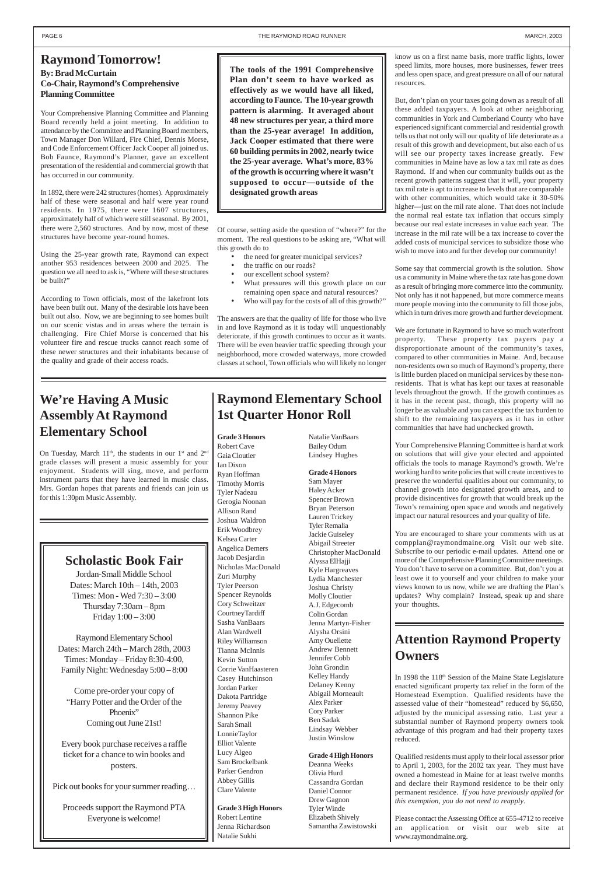### **We're Having A Music Assembly At Raymond Elementary School**

On Tuesday, March  $11<sup>th</sup>$ , the students in our  $1<sup>st</sup>$  and  $2<sup>nd</sup>$ grade classes will present a music assembly for your enjoyment. Students will sing, move, and perform instrument parts that they have learned in music class. Mrs. Gordan hopes that parents and friends can join us for this 1:30pm Music Assembly.

#### **Scholastic Book Fair**

Jordan-Small Middle School Dates: March 10th – 14th, 2003 Times: Mon - Wed 7:30 – 3:00 Thursday 7:30am – 8pm Friday 1:00 – 3:00

Raymond Elementary School Dates: March 24th – March 28th, 2003 Times: Monday – Friday 8:30-4:00, Family Night: Wednesday 5:00 – 8:00

Come pre-order your copy of "Harry Potter and the Order of the Phoenix" Coming out June 21st!

Every book purchase receives a raffle ticket for a chance to win books and posters.

Pick out books for your summer reading…

Proceeds support the Raymond PTA Everyone is welcome!

#### <span id="page-5-0"></span>**Raymond Tomorrow!**

#### **By: Brad McCurtain Co-Chair, Raymond's Comprehensive Planning Committee**

Your Comprehensive Planning Committee and Planning Board recently held a joint meeting. In addition to attendance by the Committee and Planning Board members, Town Manager Don Willard, Fire Chief, Dennis Morse, and Code Enforcement Officer Jack Cooper all joined us. Bob Faunce, Raymond's Planner, gave an excellent presentation of the residential and commercial growth that has occurred in our community.

- the need for greater municipal services?
- the traffic on our roads?
- our excellent school system?
- What pressures will this growth place on our remaining open space and natural resources?
- Who will pay for the costs of all of this growth?"

In 1892, there were 242 structures (homes). Approximately half of these were seasonal and half were year round residents. In 1975, there were 1607 structures, approximately half of which were still seasonal. By 2001, there were 2,560 structures. And by now, most of these structures have become year-round homes.

Using the 25-year growth rate, Raymond can expect another 953 residences between 2000 and 2025. The question we all need to ask is, "Where will these structures be built?"

According to Town officials, most of the lakefront lots have been built out. Many of the desirable lots have been built out also. Now, we are beginning to see homes built on our scenic vistas and in areas where the terrain is challenging. Fire Chief Morse is concerned that his volunteer fire and rescue trucks cannot reach some of these newer structures and their inhabitants because of the quality and grade of their access roads.

Of course, setting aside the question of "where?" for the moment. The real questions to be asking are, "What will this growth do to

The answers are that the quality of life for those who live in and love Raymond as it is today will unquestionably deteriorate, if this growth continues to occur as it wants. There will be even heavier traffic speeding through your neighborhood, more crowded waterways, more crowded classes at school, Town officials who will likely no longer

know us on a first name basis, more traffic lights, lower speed limits, more houses, more businesses, fewer trees and less open space, and great pressure on all of our natural resources.

But, don't plan on your taxes going down as a result of all these added taxpayers. A look at other neighboring communities in York and Cumberland County who have experienced significant commercial and residential growth tells us that not only will our quality of life deteriorate as a result of this growth and development, but also each of us will see our property taxes increase greatly. Few communities in Maine have as low a tax mil rate as does Raymond. If and when our community builds out as the recent growth patterns suggest that it will, your property tax mil rate is apt to increase to levels that are comparable with other communities, which would take it 30-50% higher—just on the mil rate alone. That does not include the normal real estate tax inflation that occurs simply because our real estate increases in value each year. The increase in the mil rate will be a tax increase to cover the added costs of municipal services to subsidize those who wish to move into and further develop our community!

In 1998 the 118<sup>th</sup> Session of the Maine State Legislature enacted significant property tax relief in the form of the Homestead Exemption. Qualified residents have the assessed value of their "homestead" reduced by \$6,650, adjusted by the municipal assessing ratio. Last year a substantial number of Raymond property owners took advantage of this program and had their property taxes reduced.

Some say that commercial growth is the solution. Show us a community in Maine where the tax rate has gone down as a result of bringing more commerce into the community. Not only has it not happened, but more commerce means more people moving into the community to fill those jobs, which in turn drives more growth and further development.

We are fortunate in Raymond to have so much waterfront property. These property tax payers pay a disproportionate amount of the community's taxes, compared to other communities in Maine. And, because non-residents own so much of Raymond's property, there is little burden placed on municipal services by these nonresidents. That is what has kept our taxes at reasonable levels throughout the growth. If the growth continues as it has in the recent past, though, this property will no longer be as valuable and you can expect the tax burden to shift to the remaining taxpayers as it has in other communities that have had unchecked growth.

Your Comprehensive Planning Committee is hard at work on solutions that will give your elected and appointed officials the tools to manage Raymond's growth. We're working hard to write policies that will create incentives to preserve the wonderful qualities about our community, to channel growth into designated growth areas, and to provide disincentives for growth that would break up the Town's remaining open space and woods and negatively impact our natural resources and your quality of life.

You are encouraged to share your comments with us at compplan@raymondmaine.org Visit our web site. Subscribe to our periodic e-mail updates. Attend one or more of the Comprehensive Planning Committee meetings. You don't have to serve on a committee. But, don't you at least owe it to yourself and your children to make your views known to us now, while we are drafting the Plan's updates? Why complain? Instead, speak up and share your thoughts.

### **Raymond Elementary School 1st Quarter Honor Roll**

**Grade 3 Honors** Robert Cave Gaia Cloutier Ian Dixon Ryan Hoffman Timothy Morris Tyler Nadeau Gerogia Noonan Allison Rand Joshua Waldron Erik Woodbrey Kelsea Carter Angelica Demers Jacob Desjardin Nicholas MacDonald Zuri Murphy Tyler Peerson Spencer Reynolds Cory Schweitzer CourtneyTardiff Sasha VanBaars Alan Wardwell Riley Williamson Tianna McInnis Kevin Sutton Corrie VanHaasteren Casey Hutchinson Jordan Parker Dakota Partridge Jeremy Peavey Shannon Pike Sarah Small LonnieTaylor Elliot Valente Lucy Algeo Sam Brockelbank Parker Gendron Abbey Gillis Clare Valente

**Grade 3 High Honors** Robert Lentine Jenna Richardson Natalie Sukhi

Natalie VanBaars

Bailey Odum Lindsey Hughes

**Grade 4 Honors** Sam Mayer Haley Acker Spencer Brown Bryan Peterson Lauren Trickey Tyler Remalia Jackie Guiseley Abigail Streeter Christopher MacDonald Alyssa ElHajji Kyle Hargreaves Lydia Manchester Joshua Christy Molly Cloutier A.J. Edgecomb Colin Gordan Jenna Martyn-Fisher Alysha Orsini Amy Ouellette Andrew Bennett Jennifer Cobb John Grondin Kelley Handy Delaney Kenny Abigail Morneault Alex Parker Cory Parker Ben Sadak Lindsay Webber Justin Winslow **Grade 4 High Honors** Deanna Weeks Olivia Hurd Cassandra Gordan Daniel Connor Drew Gagnon Tyler Winde Elizabeth Shively Samantha Zawistowski

#### **The tools of the 1991 Comprehensive Plan don't seem to have worked as effectively as we would have all liked, according to Faunce. The 10-year growth pattern is alarming. It averaged about 48 new structures per year, a third more than the 25-year average! In addition, Jack Cooper estimated that there were 60 building permits in 2002, nearly twice the 25-year average. What's more, 83% of the growth is occurring where it wasn't supposed to occur—outside of the designated growth areas**

#### **Attention Raymond Property Owners**

Qualified residents must apply to their local assessor prior to April 1, 2003, for the 2002 tax year. They must have owned a homestead in Maine for at least twelve months and declare their Raymond residence to be their only permanent residence. *If you have previously applied for this exemption, you do not need to reapply*.

Please contact the Assessing Office at 655-4712 to receive an application or visit our web site at www.raymondmaine.org.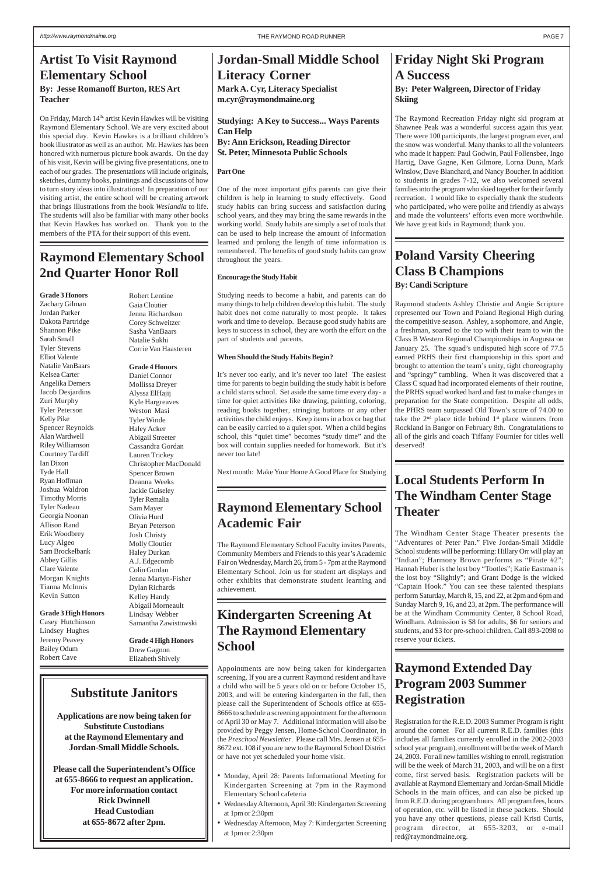#### **Friday Night Ski Program A Success By: Peter Walgreen, Director of Friday Skiing**

The Raymond Recreation Friday night ski program at Shawnee Peak was a wonderful success again this year. There were 100 participants, the largest program ever, and the snow was wonderful. Many thanks to all the volunteers who made it happen: Paul Godwin, Paul Follensbee, Ingo Hartig, Dave Gagne, Ken Gilmore, Lorna Dunn, Mark Winslow, Dave Blanchard, and Nancy Boucher. In addition to students in grades 7-12, we also welcomed several families into the program who skied together for their family recreation. I would like to especially thank the students who participated, who were polite and friendly as always and made the volunteers' efforts even more worthwhile. We have great kids in Raymond; thank you.

#### **Raymond Extended Day Program 2003 Summer Registration**

Registration for the R.E.D. 2003 Summer Program is right around the corner. For all current R.E.D. families (this includes all families currently enrolled in the 2002-2003 school year program), enrollment will be the week of March 24, 2003. For all new families wishing to enroll, registration will be the week of March 31, 2003, and will be on a first come, first served basis. Registration packets will be available at Raymond Elementary and Jordan-Small Middle Schools in the main offices, and can also be picked up from R.E.D. during program hours. All program fees, hours of operation, etc. will be listed in these packets. Should you have any other questions, please call Kristi Curtis, program director, at 655-3203, or e-mail red@raymondmaine.org.

### **Jordan-Small Middle School Literacy Corner**

**Mark A. Cyr, Literacy Specialist m.cyr@raymondmaine.org**

**Studying: A Key to Success... Ways Parents Can Help By: Ann Erickson, Reading Director St. Peter, Minnesota Public Schools**

#### **Part One**

One of the most important gifts parents can give their children is help in learning to study effectively. Good study habits can bring success and satisfaction during school years, and they may bring the same rewards in the working world. Study habits are simply a set of tools that can be used to help increase the amount of information learned and prolong the length of time information is remembered. The benefits of good study habits can grow throughout the years.

#### **Encourage the Study Habit**

Studying needs to become a habit, and parents can do many things to help children develop this habit. The study habit does not come naturally to most people. It takes work and time to develop. Because good study habits are keys to success in school, they are worth the effort on the part of students and parents.

#### **When Should the Study Habits Begin?**

On Friday, March 14<sup>th,</sup> artist Kevin Hawkes will be visiting Raymond Elementary School. We are very excited about this special day. Kevin Hawkes is a brilliant children's book illustrator as well as an author. Mr. Hawkes has been honored with numerous picture book awards. On the day of his visit, Kevin will be giving five presentations, one to each of our grades. The presentations will include originals, sketches, dummy books, paintings and discussions of how to turn story ideas into illustrations! In preparation of our visiting artist, the entire school will be creating artwork that brings illustrations from the book *Weslandia* to life. The students will also be familiar with many other books that Kevin Hawkes has worked on. Thank you to the members of the PTA for their support of this event.

> It's never too early, and it's never too late! The easiest time for parents to begin building the study habit is before a child starts school. Set aside the same time every day- a time for quiet activities like drawing, painting, coloring, reading books together, stringing buttons or any other activities the child enjoys. Keep items in a box or bag that can be easily carried to a quiet spot. When a child begins school, this "quiet time" becomes "study time" and the box will contain supplies needed for homework. But it's never too late!

> Next month: Make Your Home A Good Place for Studying

#### **Kindergarten Screening At The Raymond Elementary School**

Appointments are now being taken for kindergarten screening. If you are a current Raymond resident and have a child who will be 5 years old on or before October 15, 2003, and will be entering kindergarten in the fall, then please call the Superintendent of Schools office at 655- 8666 to schedule a screening appointment for the afternoon of April 30 or May 7. Additional information will also be provided by Peggy Jensen, Home-School Coordinator, in the *Preschool Newsletter*. Please call Mrs. Jensen at 655- 8672 ext. 108 if you are new to the Raymond School District or have not yet scheduled your home visit.

- Monday, April 28: Parents Informational Meeting for Kindergarten Screening at 7pm in the Raymond Elementary School cafeteria
- Wednesday Afternoon, April 30: Kindergarten Screening at 1pm or 2:30pm
- Wednesday Afternoon, May 7: Kindergarten Screening at 1pm or 2:30pm

### **Raymond Elementary School Academic Fair**

The Raymond Elementary School Faculty invites Parents, Community Members and Friends to this year's Academic Fair on Wednesday, March 26, from 5 - 7pm at the Raymond Elementary School. Join us for student art displays and other exhibits that demonstrate student learning and achievement.

## <span id="page-6-0"></span>**Artist To Visit Raymond Elementary School**

#### **By: Jesse Romanoff Burton, RES Art Teacher**

#### **Substitute Janitors**

**Applications are now being taken for Substitute Custodians at the Raymond Elementary and Jordan-Small Middle Schools.**

**Please call the Superintendent's Office at 655-8666 to request an application. For more information contact Rick Dwinnell Head Custodian at 655-8672 after 2pm.**

#### **Poland Varsity Cheering Class B Champions By: Candi Scripture**

Raymond students Ashley Christie and Angie Scripture represented our Town and Poland Regional High during the competitive season. Ashley, a sophomore, and Angie, a freshman, soared to the top with their team to win the Class B Western Regional Championships in Augusta on January 25. The squad's undisputed high score of 77.5 earned PRHS their first championship in this sport and brought to attention the team's unity, tight choreography and "springy" tumbling. When it was discovered that a Class C squad had incorporated elements of their routine, the PRHS squad worked hard and fast to make changes in preparation for the State competition. Despite all odds, the PHRS team surpassed Old Town's score of 74.00 to take the  $2<sup>nd</sup>$  place title behind  $1<sup>st</sup>$  place winners from Rockland in Bangor on February 8th. Congratulations to all of the girls and coach Tiffany Fournier for titles well deserved!

### **Local Students Perform In The Windham Center Stage Theater**

The Windham Center Stage Theater presents the "Adventures of Peter Pan." Five Jordan-Small Middle School students will be performing: Hillary Orr will play an "Indian"; Harmony Brown performs as "Pirate #2"; Hannah Huber is the lost boy "Tootles"; Katie Eastman is the lost boy "Slightly"; and Grant Dodge is the wicked "Captain Hook." You can see these talented thespians perform Saturday, March 8, 15, and 22, at 2pm and 6pm and Sunday March 9, 16, and 23, at 2pm. The performance will be at the Windham Community Center, 8 School Road, Windham. Admission is \$8 for adults, \$6 for seniors and students, and \$3 for pre-school children. Call 893-2098 to reserve your tickets.

#### **Raymond Elementary School 2nd Quarter Honor Roll**

**Grade 3 Honors**

Zachary Gilman Jordan Parker Dakota Partridge Shannon Pike Sarah Small Tyler Stevens Elliot Valente Natalie VanBaars Kelsea Carter Angelika Demers Jacob Desjardins Zuri Murphy Tyler Peterson Kelly Pike Spencer Reynolds Alan Wardwell Riley Williamson Courtney Tardiff Ian Dixon Tyde Hall Ryan Hoffman Joshua Waldron Timothy Morris Tyler Nadeau Georgia Noonan Allison Rand Erik Woodbrey Lucy Algeo Sam Brockelbank Abbey Gillis Clare Valente Morgan Knights Tianna McInnis Kevin Sutton

#### **Grade 3 High Honors**

Casey Hutchinson Lindsey Hughes Jeremy Peavey Bailey Odum Robert Cave

Robert Lentine Gaia Cloutier Jenna Richardson Corey Schweitzer Sasha VanBaars Natalie Sukhi Corrie Van Haasteren

#### **Grade 4 Honors**

Daniel Connor Mollissa Dreyer Alyssa ElHajij Kyle Hargreaves Weston Masi Tyler Winde Haley Acker Abigail Streeter Cassandra Gordan Lauren Trickey Christopher MacDonald Spencer Brown Deanna Weeks Jackie Guiseley Tyler Remalia Sam Mayer Olivia Hurd Bryan Peterson Josh Christy Molly Cloutier Haley Durkan A.J. Edgecomb Colin Gordan Jenna Martyn-Fisher Dylan Richards Kelley Handy Abigail Morneault Lindsay Webber Samantha Zawistowski

#### **Grade 4 High Honors** Drew Gagnon Elizabeth Shively